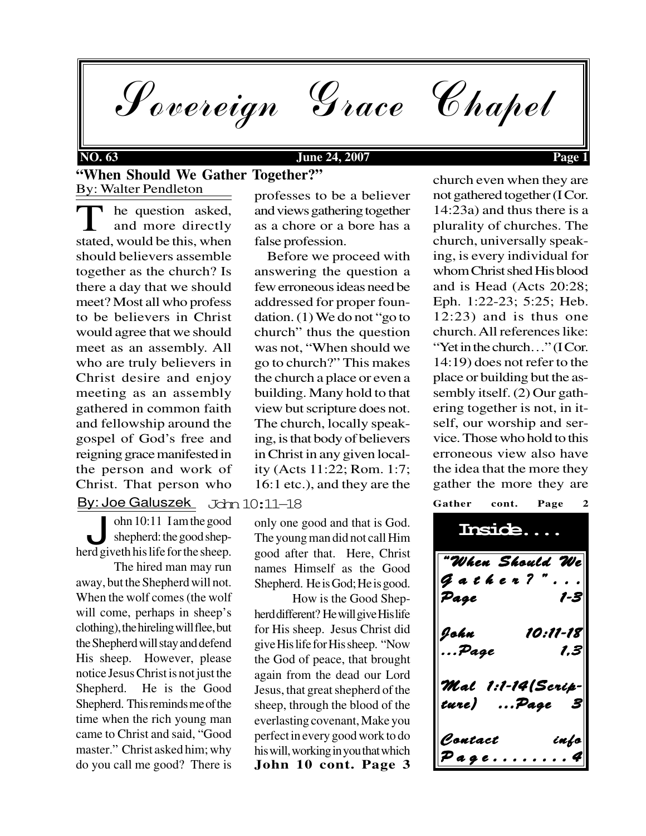

## **NO. 63 June 24, 2007 Page 1**

## By: Walter Pendleton **"When Should We Gather Together?"**

en: Joe Galuszek – Jahn 10:11–18<br>By: Joe Galuszek – Jahn 10:11–18 T he question asked,<br>and more directly<br>stated, would be this, when he question asked, and more directly should believers assemble together as the church? Is there a day that we should meet? Most all who profess to be believers in Christ would agree that we should meet as an assembly. All who are truly believers in Christ desire and enjoy meeting as an assembly gathered in common faith and fellowship around the gospel of God's free and reigning grace manifested in the person and work of Christ. That person who

ohn 10:11 I am the good<br>shepherd: the good shepherd giveth his life for the sheep. shepherd: the good shep-

The hired man may run away, but the Shepherd will not. When the wolf comes (the wolf will come, perhaps in sheep's clothing), the hireling will flee, but the Shepherd will stay and defend His sheep. However, please notice Jesus Christ is not just the Shepherd. He is the Good Shepherd. This reminds me of the time when the rich young man came to Christ and said, "Good master." Christ asked him; why do you call me good? There is

professes to be a believer and views gathering together as a chore or a bore has a false profession.

 Before we proceed with answering the question a few erroneous ideas need be addressed for proper foundation. (1) We do not "go to church" thus the question was not, "When should we go to church?" This makes the church a place or even a building. Many hold to that view but scripture does not. The church, locally speaking, is that body of believers in Christ in any given locality (Acts 11:22; Rom. 1:7; 16:1 etc.), and they are the

ohn 10:11 I am the good only one good and that is God.<br>
shepherd: the good shep-<br>
The voung man did not call Him The young man did not call Him good after that. Here, Christ names Himself as the Good Shepherd. He is God; He is good.

> **John 10 cont. Page 3** How is the Good Shepherd different? He will give His life for His sheep. Jesus Christ did give His life for His sheep. "Now the God of peace, that brought again from the dead our Lord Jesus, that great shepherd of the sheep, through the blood of the everlasting covenant, Make you perfect in every good work to do his will, working in you that which

church even when they are not gathered together (I Cor. 14:23a) and thus there is a plurality of churches. The church, universally speaking, is every individual for whom Christ shed His blood and is Head (Acts 20:28; Eph. 1:22-23; 5:25; Heb. 12:23) and is thus one church. All references like: "Yet in the church…" (I Cor. 14:19) does not refer to the place or building but the assembly itself. (2) Our gathering together is not, in itself, our worship and service. Those who hold to this erroneous view also have the idea that the more they gather the more they are

"When Should We Gather? Page 1-3 John 10:11-18 ...Page 1,3 Mal 1:1-14(Scripture) ...Page 3 Contact info  $P$  a g e  $\ldots$  . . .

**Gather cont. Page 2**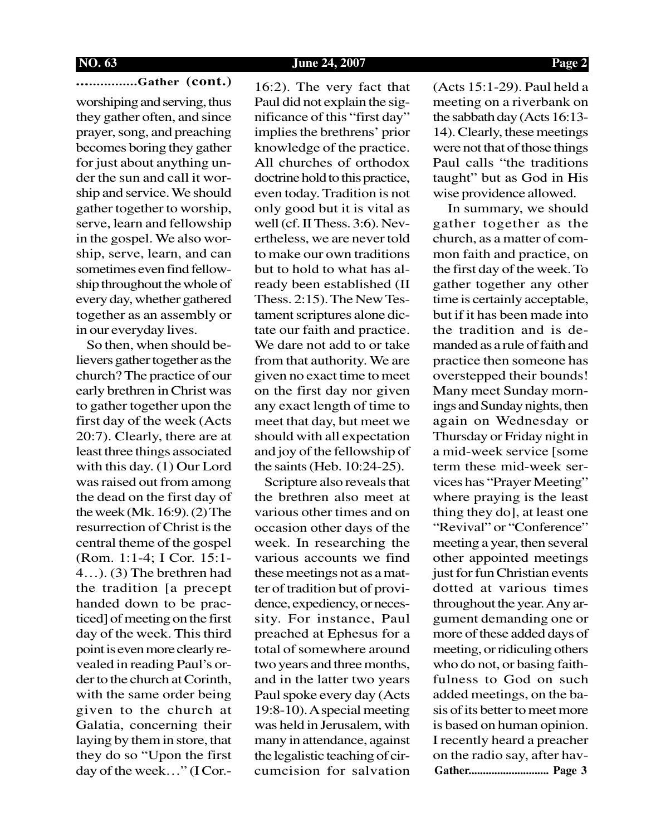**NO. 63 June 24, 2007 Page 2**

**................Gather (cont.)** worshiping and serving, thus they gather often, and since prayer, song, and preaching becomes boring they gather for just about anything under the sun and call it worship and service. We should gather together to worship, serve, learn and fellowship in the gospel. We also worship, serve, learn, and can sometimes even find fellowship throughout the whole of every day, whether gathered together as an assembly or in our everyday lives.

 So then, when should believers gather together as the church? The practice of our early brethren in Christ was to gather together upon the first day of the week (Acts 20:7). Clearly, there are at least three things associated with this day. (1) Our Lord was raised out from among the dead on the first day of the week (Mk. 16:9). (2) The resurrection of Christ is the central theme of the gospel (Rom. 1:1-4; I Cor. 15:1- 4…). (3) The brethren had the tradition [a precept handed down to be practiced] of meeting on the first day of the week. This third point is even more clearly revealed in reading Paul's order to the church at Corinth, with the same order being given to the church at Galatia, concerning their laying by them in store, that they do so "Upon the first day of the week…" (I Cor.-

16:2). The very fact that Paul did not explain the significance of this "first day" implies the brethrens' prior knowledge of the practice. All churches of orthodox doctrine hold to this practice, even today. Tradition is not only good but it is vital as well (cf. II Thess. 3:6). Nevertheless, we are never told to make our own traditions but to hold to what has already been established (II Thess. 2:15). The New Testament scriptures alone dictate our faith and practice. We dare not add to or take from that authority. We are given no exact time to meet on the first day nor given any exact length of time to meet that day, but meet we should with all expectation and joy of the fellowship of the saints (Heb. 10:24-25).

 Scripture also reveals that the brethren also meet at various other times and on occasion other days of the week. In researching the various accounts we find these meetings not as a matter of tradition but of providence, expediency, or necessity. For instance, Paul preached at Ephesus for a total of somewhere around two years and three months, and in the latter two years Paul spoke every day (Acts 19:8-10). A special meeting was held in Jerusalem, with many in attendance, against the legalistic teaching of circumcision for salvation (Acts 15:1-29). Paul held a meeting on a riverbank on the sabbath day (Acts 16:13- 14). Clearly, these meetings were not that of those things Paul calls "the traditions taught" but as God in His wise providence allowed.

**Gather............................ Page 3** In summary, we should gather together as the church, as a matter of common faith and practice, on the first day of the week. To gather together any other time is certainly acceptable, but if it has been made into the tradition and is demanded as a rule of faith and practice then someone has overstepped their bounds! Many meet Sunday mornings and Sunday nights, then again on Wednesday or Thursday or Friday night in a mid-week service [some term these mid-week services has "Prayer Meeting" where praying is the least thing they do], at least one "Revival" or "Conference" meeting a year, then several other appointed meetings just for fun Christian events dotted at various times throughout the year. Any argument demanding one or more of these added days of meeting, or ridiculing others who do not, or basing faithfulness to God on such added meetings, on the basis of its better to meet more is based on human opinion. I recently heard a preacher on the radio say, after hav-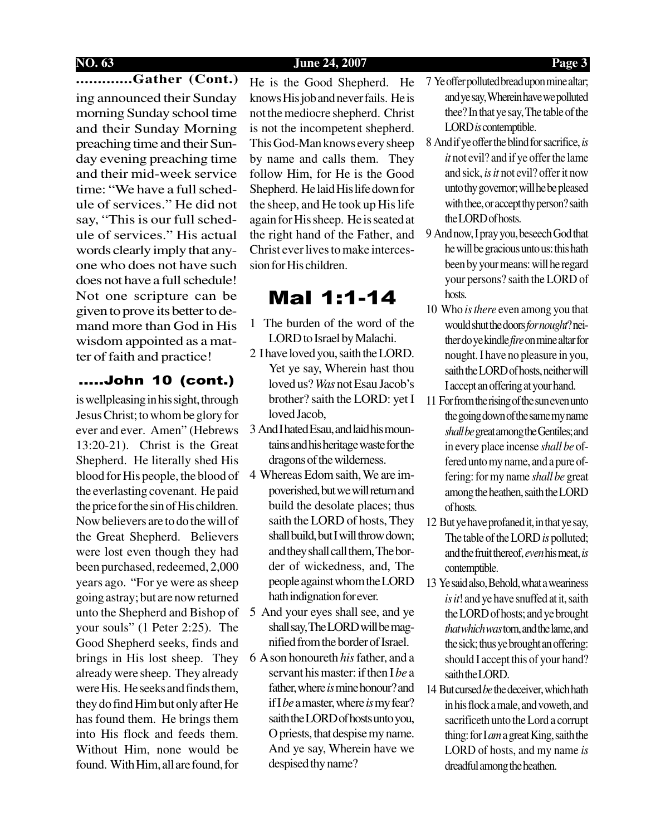## **NO. 63 June 24, 2007 Page 3**

## **.............Gather (Cont.)**

ing announced their Sunday morning Sunday school time and their Sunday Morning preaching time and their Sunday evening preaching time and their mid-week service time: "We have a full schedule of services." He did not say, "This is our full schedule of services." His actual words clearly imply that anyone who does not have such does not have a full schedule! Not one scripture can be given to prove its better to demand more than God in His wisdom appointed as a matter of faith and practice!

## .....John 10 (cont.)

is wellpleasing in his sight, through Jesus Christ; to whom be glory for ever and ever. Amen" (Hebrews 13:20-21). Christ is the Great Shepherd. He literally shed His blood for His people, the blood of the everlasting covenant. He paid the price for the sin of His children. Now believers are to do the will of the Great Shepherd. Believers were lost even though they had been purchased, redeemed, 2,000 years ago. "For ye were as sheep going astray; but are now returned unto the Shepherd and Bishop of your souls" (1 Peter 2:25). The Good Shepherd seeks, finds and brings in His lost sheep. They already were sheep. They already were His. He seeks and finds them. they do find Him but only after He has found them. He brings them into His flock and feeds them. Without Him, none would be found. With Him, all are found, for

He is the Good Shepherd. He knows His job and never fails. He is not the mediocre shepherd. Christ is not the incompetent shepherd. This God-Man knows every sheep by name and calls them. They follow Him, for He is the Good Shepherd. He laid His life down for the sheep, and He took up His life again for His sheep. He is seated at the right hand of the Father, and Christ ever lives to make intercession for His children.

# Mal 1:1-14

- 1 The burden of the word of the LORD to Israel by Malachi.
- 2 I have loved you, saith the LORD. Yet ye say, Wherein hast thou loved us? *Was* not Esau Jacob's brother? saith the LORD: yet I loved Jacob,
- 3 And I hated Esau, and laid his mountains and his heritage waste for the dragons of the wilderness.
- 4 Whereas Edom saith, We are impoverished, but we will return and build the desolate places; thus saith the LORD of hosts, They shall build, but I will throw down; and they shall call them, The border of wickedness, and, The people against whom the LORD hath indignation for ever.
- 5 And your eyes shall see, and ye shall say, The LORD will be magnified from the border of Israel.
- 6 A son honoureth *his* father, and a servant his master: if then I *be* a father, where *is* mine honour? and if I *be* a master, where *is* my fear? saith the LORD of hosts unto you, O priests, that despise my name. And ye say, Wherein have we despised thy name?
- 7 Ye offer polluted bread upon mine altar; and ye say, Wherein have we polluted thee? In that ye say, The table of the LORD *is* contemptible.
- 8 And if ye offer the blind for sacrifice, *is it* not evil? and if ye offer the lame and sick, *is it* not evil? offer it now unto thy governor; will he be pleased with thee, or accept thy person? saith the LORD of hosts.
- 9 And now, I pray you, beseech God that he will be gracious unto us: this hath been by your means: will he regard your persons? saith the LORD of hosts.
- 10 Who *is there* even among you that would shut the doors *for nought*? neither do ye kindle *fire* on mine altar for nought. I have no pleasure in you, saith the LORD of hosts, neither will I accept an offering at your hand.
- 11 For from the rising of the sun even unto the going down of the same my name *shall be* great among the Gentiles; and in every place incense *shall be* offered unto my name, and a pure offering: for my name *shall be* great among the heathen, saith the LORD of hosts.
- 12 But ye have profaned it, in that ye say, The table of the LORD *is* polluted; and the fruit thereof, *even* his meat, *is* contemptible.
- 13 Ye said also, Behold, what a weariness *is it*! and ye have snuffed at it, saith the LORD of hosts; and ye brought *that which was* torn, and the lame, and the sick; thus ye brought an offering: should I accept this of your hand? saith the LORD.
- 14 But cursed *be* the deceiver, which hath in his flock a male, and voweth, and sacrificeth unto the Lord a corrupt thing: for I *am* a great King, saith the LORD of hosts, and my name *is* dreadful among the heathen.